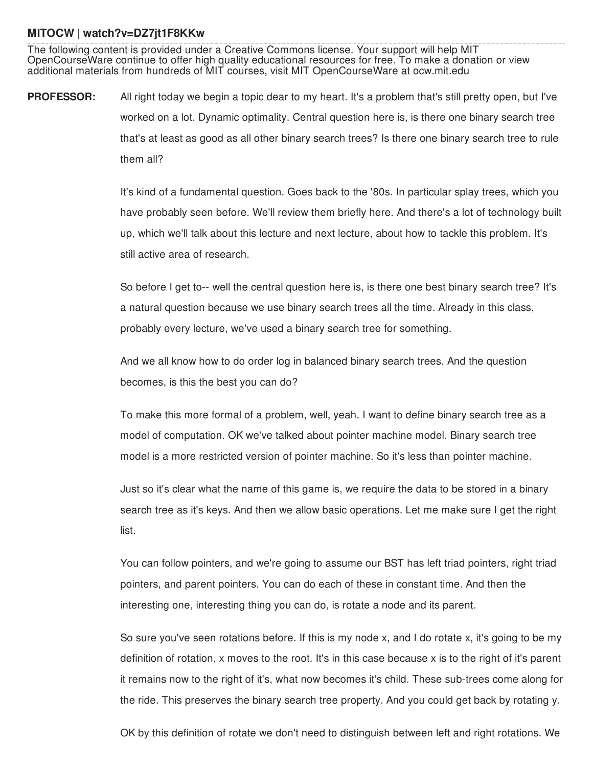## **MITOCW | watch?v=DZ7jt1F8KKw**

The following content is provided under a Creative Commons license. Your support will help MIT OpenCourseWare continue to offer high quality educational resources for free. To make a donation or view additional materials from hundreds of MIT courses, visit MIT OpenCourseWare at ocw.mit.edu

**PROFESSOR:** All right today we begin a topic dear to my heart. It's a problem that's still pretty open, but I've worked on a lot. Dynamic optimality. Central question here is, is there one binary search tree that's at least as good as all other binary search trees? Is there one binary search tree to rule them all?

> It's kind of a fundamental question. Goes back to the '80s. In particular splay trees, which you have probably seen before. We'll review them briefly here. And there's a lot of technology built up, which we'll talk about this lecture and next lecture, about how to tackle this problem. It's still active area of research.

> So before I get to-- well the central question here is, is there one best binary search tree? It's a natural question because we use binary search trees all the time. Already in this class, probably every lecture, we've used a binary search tree for something.

And we all know how to do order log in balanced binary search trees. And the question becomes, is this the best you can do?

To make this more formal of a problem, well, yeah. I want to define binary search tree as a model of computation. OK we've talked about pointer machine model. Binary search tree model is a more restricted version of pointer machine. So it's less than pointer machine.

Just so it's clear what the name of this game is, we require the data to be stored in a binary search tree as it's keys. And then we allow basic operations. Let me make sure I get the right list.

You can follow pointers, and we're going to assume our BST has left triad pointers, right triad pointers, and parent pointers. You can do each of these in constant time. And then the interesting one, interesting thing you can do, is rotate a node and its parent.

So sure you've seen rotations before. If this is my node x, and I do rotate x, it's going to be my definition of rotation, x moves to the root. It's in this case because x is to the right of it's parent it remains now to the right of it's, what now becomes it's child. These sub-trees come along for the ride. This preserves the binary search tree property. And you could get back by rotating y.

OK by this definition of rotate we don't need to distinguish between left and right rotations. We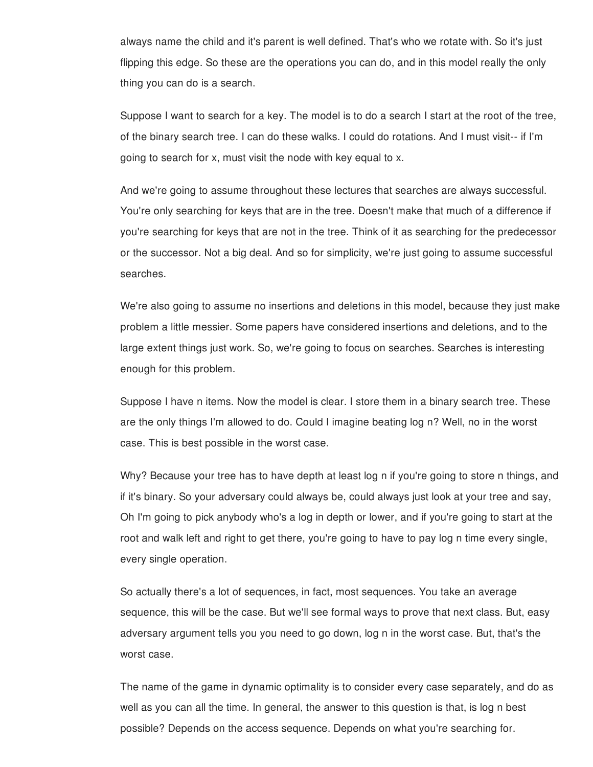always name the child and it's parent is well defined. That's who we rotate with. So it's just flipping this edge. So these are the operations you can do, and in this model really the only thing you can do is a search.

Suppose I want to search for a key. The model is to do a search I start at the root of the tree, of the binary search tree. I can do these walks. I could do rotations. And I must visit-- if I'm going to search for x, must visit the node with key equal to x.

And we're going to assume throughout these lectures that searches are always successful. You're only searching for keys that are in the tree. Doesn't make that much of a difference if you're searching for keys that are not in the tree. Think of it as searching for the predecessor or the successor. Not a big deal. And so for simplicity, we're just going to assume successful searches.

We're also going to assume no insertions and deletions in this model, because they just make problem a little messier. Some papers have considered insertions and deletions, and to the large extent things just work. So, we're going to focus on searches. Searches is interesting enough for this problem.

Suppose I have n items. Now the model is clear. I store them in a binary search tree. These are the only things I'm allowed to do. Could I imagine beating log n? Well, no in the worst case. This is best possible in the worst case.

Why? Because your tree has to have depth at least log n if you're going to store n things, and if it's binary. So your adversary could always be, could always just look at your tree and say, Oh I'm going to pick anybody who's a log in depth or lower, and if you're going to start at the root and walk left and right to get there, you're going to have to pay log n time every single, every single operation.

So actually there's a lot of sequences, in fact, most sequences. You take an average sequence, this will be the case. But we'll see formal ways to prove that next class. But, easy adversary argument tells you you need to go down, log n in the worst case. But, that's the worst case.

The name of the game in dynamic optimality is to consider every case separately, and do as well as you can all the time. In general, the answer to this question is that, is log n best possible? Depends on the access sequence. Depends on what you're searching for.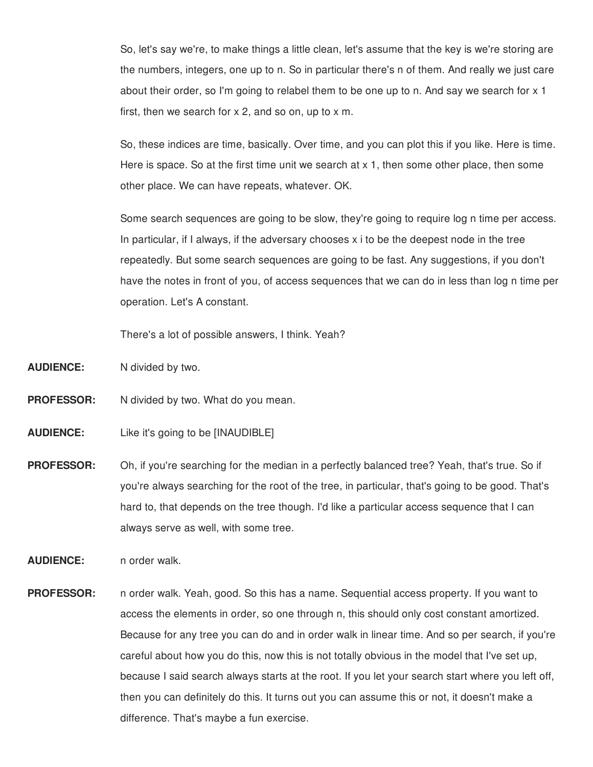So, let's say we're, to make things a little clean, let's assume that the key is we're storing are the numbers, integers, one up to n. So in particular there's n of them. And really we just care about their order, so I'm going to relabel them to be one up to n. And say we search for x 1 first, then we search for  $x$  2, and so on, up to  $x$  m.

So, these indices are time, basically. Over time, and you can plot this if you like. Here is time. Here is space. So at the first time unit we search at x 1, then some other place, then some other place. We can have repeats, whatever. OK.

Some search sequences are going to be slow, they're going to require log n time per access. In particular, if I always, if the adversary chooses x i to be the deepest node in the tree repeatedly. But some search sequences are going to be fast. Any suggestions, if you don't have the notes in front of you, of access sequences that we can do in less than log n time per operation. Let's A constant.

There's a lot of possible answers, I think. Yeah?

**AUDIENCE:** N divided by two.

**PROFESSOR:** N divided by two. What do you mean.

**AUDIENCE:** Like it's going to be [INAUDIBLE]

**PROFESSOR:** Oh, if you're searching for the median in a perfectly balanced tree? Yeah, that's true. So if you're always searching for the root of the tree, in particular, that's going to be good. That's hard to, that depends on the tree though. I'd like a particular access sequence that I can always serve as well, with some tree.

**AUDIENCE:** n order walk.

**PROFESSOR:** n order walk. Yeah, good. So this has a name. Sequential access property. If you want to access the elements in order, so one through n, this should only cost constant amortized. Because for any tree you can do and in order walk in linear time. And so per search, if you're careful about how you do this, now this is not totally obvious in the model that I've set up, because I said search always starts at the root. If you let your search start where you left off, then you can definitely do this. It turns out you can assume this or not, it doesn't make a difference. That's maybe a fun exercise.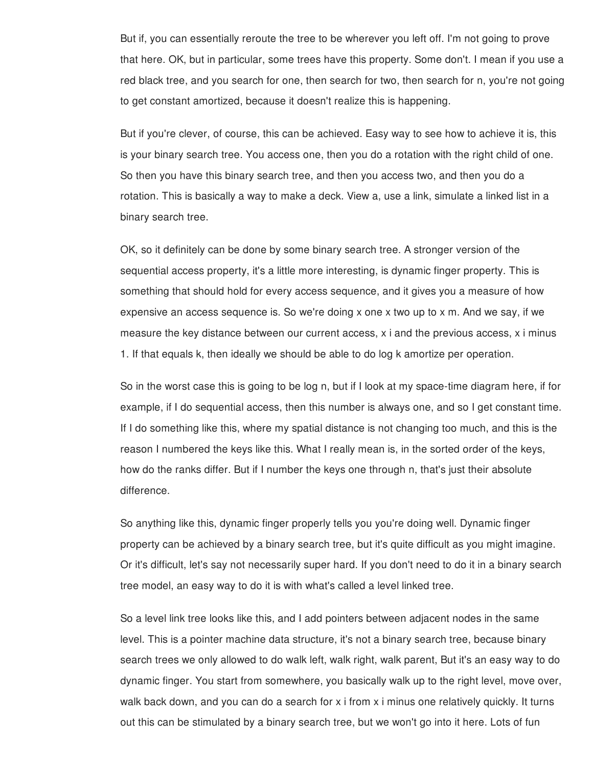But if, you can essentially reroute the tree to be wherever you left off. I'm not going to prove that here. OK, but in particular, some trees have this property. Some don't. I mean if you use a red black tree, and you search for one, then search for two, then search for n, you're not going to get constant amortized, because it doesn't realize this is happening.

But if you're clever, of course, this can be achieved. Easy way to see how to achieve it is, this is your binary search tree. You access one, then you do a rotation with the right child of one. So then you have this binary search tree, and then you access two, and then you do a rotation. This is basically a way to make a deck. View a, use a link, simulate a linked list in a binary search tree.

OK, so it definitely can be done by some binary search tree. A stronger version of the sequential access property, it's a little more interesting, is dynamic finger property. This is something that should hold for every access sequence, and it gives you a measure of how expensive an access sequence is. So we're doing x one x two up to x m. And we say, if we measure the key distance between our current access, x i and the previous access, x i minus 1. If that equals k, then ideally we should be able to do log k amortize per operation.

So in the worst case this is going to be log n, but if I look at my space-time diagram here, if for example, if I do sequential access, then this number is always one, and so I get constant time. If I do something like this, where my spatial distance is not changing too much, and this is the reason I numbered the keys like this. What I really mean is, in the sorted order of the keys, how do the ranks differ. But if I number the keys one through n, that's just their absolute difference.

So anything like this, dynamic finger properly tells you you're doing well. Dynamic finger property can be achieved by a binary search tree, but it's quite difficult as you might imagine. Or it's difficult, let's say not necessarily super hard. If you don't need to do it in a binary search tree model, an easy way to do it is with what's called a level linked tree.

So a level link tree looks like this, and I add pointers between adjacent nodes in the same level. This is a pointer machine data structure, it's not a binary search tree, because binary search trees we only allowed to do walk left, walk right, walk parent, But it's an easy way to do dynamic finger. You start from somewhere, you basically walk up to the right level, move over, walk back down, and you can do a search for x i from x i minus one relatively quickly. It turns out this can be stimulated by a binary search tree, but we won't go into it here. Lots of fun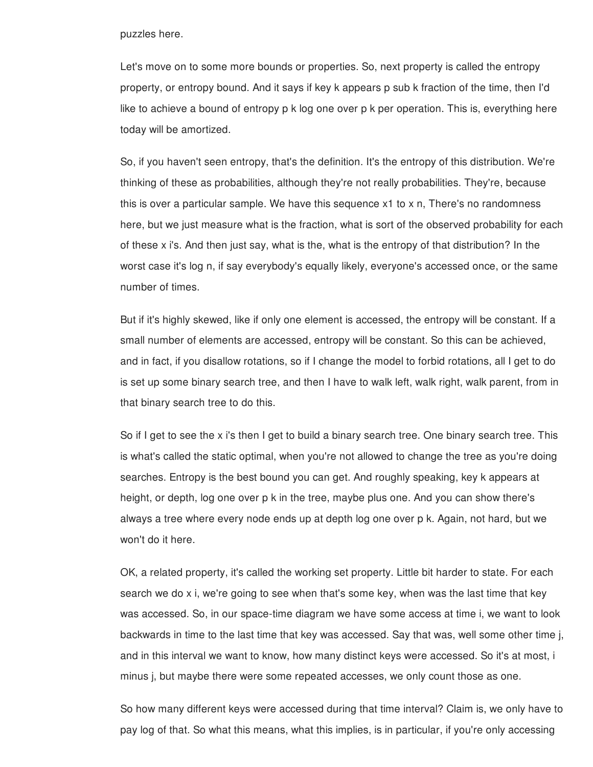puzzles here.

Let's move on to some more bounds or properties. So, next property is called the entropy property, or entropy bound. And it says if key k appears p sub k fraction of the time, then I'd like to achieve a bound of entropy p k log one over p k per operation. This is, everything here today will be amortized.

So, if you haven't seen entropy, that's the definition. It's the entropy of this distribution. We're thinking of these as probabilities, although they're not really probabilities. They're, because this is over a particular sample. We have this sequence x1 to x n, There's no randomness here, but we just measure what is the fraction, what is sort of the observed probability for each of these x i's. And then just say, what is the, what is the entropy of that distribution? In the worst case it's log n, if say everybody's equally likely, everyone's accessed once, or the same number of times.

But if it's highly skewed, like if only one element is accessed, the entropy will be constant. If a small number of elements are accessed, entropy will be constant. So this can be achieved, and in fact, if you disallow rotations, so if I change the model to forbid rotations, all I get to do is set up some binary search tree, and then I have to walk left, walk right, walk parent, from in that binary search tree to do this.

So if I get to see the x i's then I get to build a binary search tree. One binary search tree. This is what's called the static optimal, when you're not allowed to change the tree as you're doing searches. Entropy is the best bound you can get. And roughly speaking, key k appears at height, or depth, log one over p k in the tree, maybe plus one. And you can show there's always a tree where every node ends up at depth log one over p k. Again, not hard, but we won't do it here.

OK, a related property, it's called the working set property. Little bit harder to state. For each search we do x i, we're going to see when that's some key, when was the last time that key was accessed. So, in our space-time diagram we have some access at time i, we want to look backwards in time to the last time that key was accessed. Say that was, well some other time j, and in this interval we want to know, how many distinct keys were accessed. So it's at most, i minus j, but maybe there were some repeated accesses, we only count those as one.

So how many different keys were accessed during that time interval? Claim is, we only have to pay log of that. So what this means, what this implies, is in particular, if you're only accessing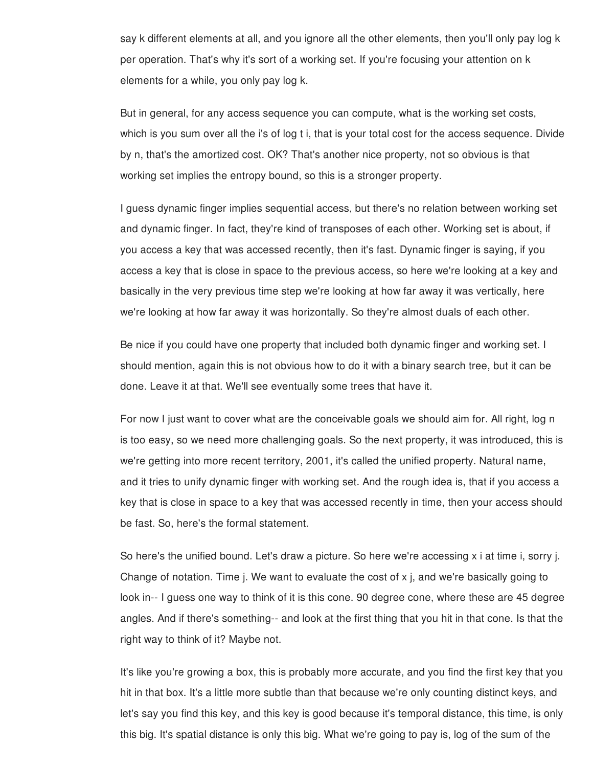say k different elements at all, and you ignore all the other elements, then you'll only pay log k per operation. That's why it's sort of a working set. If you're focusing your attention on k elements for a while, you only pay log k.

But in general, for any access sequence you can compute, what is the working set costs, which is you sum over all the i's of log t i, that is your total cost for the access sequence. Divide by n, that's the amortized cost. OK? That's another nice property, not so obvious is that working set implies the entropy bound, so this is a stronger property.

I guess dynamic finger implies sequential access, but there's no relation between working set and dynamic finger. In fact, they're kind of transposes of each other. Working set is about, if you access a key that was accessed recently, then it's fast. Dynamic finger is saying, if you access a key that is close in space to the previous access, so here we're looking at a key and basically in the very previous time step we're looking at how far away it was vertically, here we're looking at how far away it was horizontally. So they're almost duals of each other.

Be nice if you could have one property that included both dynamic finger and working set. I should mention, again this is not obvious how to do it with a binary search tree, but it can be done. Leave it at that. We'll see eventually some trees that have it.

For now I just want to cover what are the conceivable goals we should aim for. All right, log n is too easy, so we need more challenging goals. So the next property, it was introduced, this is we're getting into more recent territory, 2001, it's called the unified property. Natural name, and it tries to unify dynamic finger with working set. And the rough idea is, that if you access a key that is close in space to a key that was accessed recently in time, then your access should be fast. So, here's the formal statement.

So here's the unified bound. Let's draw a picture. So here we're accessing x i at time i, sorry j. Change of notation. Time *j*. We want to evaluate the cost of  $x$  *j*, and we're basically going to look in-- I guess one way to think of it is this cone. 90 degree cone, where these are 45 degree angles. And if there's something-- and look at the first thing that you hit in that cone. Is that the right way to think of it? Maybe not.

It's like you're growing a box, this is probably more accurate, and you find the first key that you hit in that box. It's a little more subtle than that because we're only counting distinct keys, and let's say you find this key, and this key is good because it's temporal distance, this time, is only this big. It's spatial distance is only this big. What we're going to pay is, log of the sum of the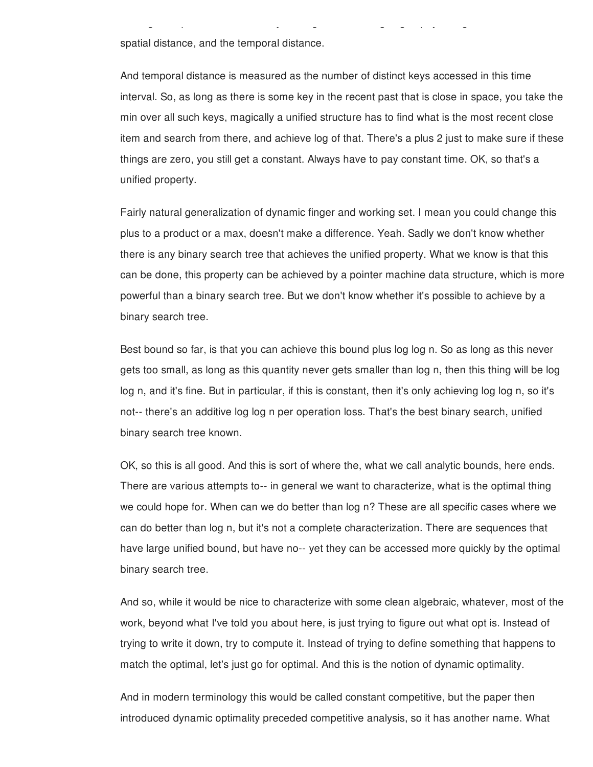spatial distance, and the temporal distance.

And temporal distance is measured as the number of distinct keys accessed in this time interval. So, as long as there is some key in the recent past that is close in space, you take the min over all such keys, magically a unified structure has to find what is the most recent close item and search from there, and achieve log of that. There's a plus 2 just to make sure if these things are zero, you still get a constant. Always have to pay constant time. OK, so that's a unified property.

this big. It's spatial distance is only this big. What we're going to pay is, log of the sum of the

Fairly natural generalization of dynamic finger and working set. I mean you could change this plus to a product or a max, doesn't make a difference. Yeah. Sadly we don't know whether there is any binary search tree that achieves the unified property. What we know is that this can be done, this property can be achieved by a pointer machine data structure, which is more powerful than a binary search tree. But we don't know whether it's possible to achieve by a binary search tree.

Best bound so far, is that you can achieve this bound plus log log n. So as long as this never gets too small, as long as this quantity never gets smaller than log n, then this thing will be log log n, and it's fine. But in particular, if this is constant, then it's only achieving log log n, so it's not-- there's an additive log log n per operation loss. That's the best binary search, unified binary search tree known.

OK, so this is all good. And this is sort of where the, what we call analytic bounds, here ends. There are various attempts to-- in general we want to characterize, what is the optimal thing we could hope for. When can we do better than log n? These are all specific cases where we can do better than log n, but it's not a complete characterization. There are sequences that have large unified bound, but have no-- yet they can be accessed more quickly by the optimal binary search tree.

And so, while it would be nice to characterize with some clean algebraic, whatever, most of the work, beyond what I've told you about here, is just trying to figure out what opt is. Instead of trying to write it down, try to compute it. Instead of trying to define something that happens to match the optimal, let's just go for optimal. And this is the notion of dynamic optimality.

And in modern terminology this would be called constant competitive, but the paper then introduced dynamic optimality preceded competitive analysis, so it has another name. What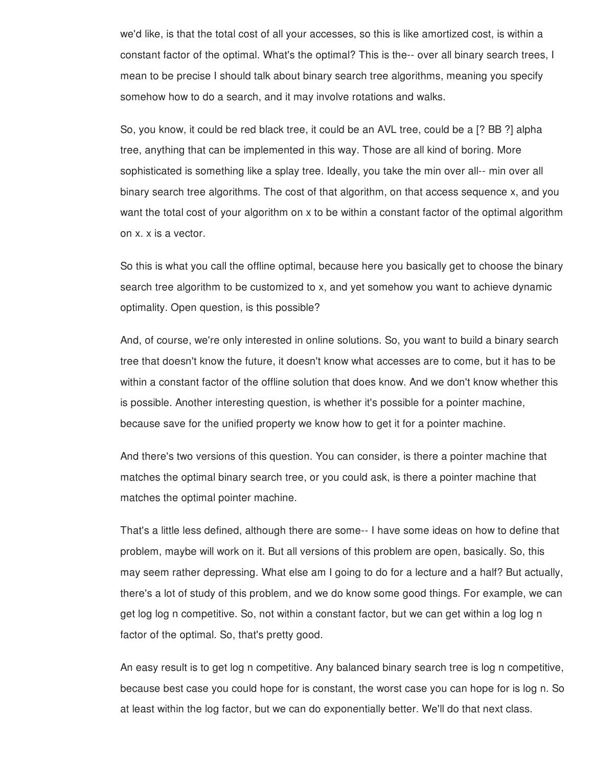we'd like, is that the total cost of all your accesses, so this is like amortized cost, is within a constant factor of the optimal. What's the optimal? This is the-- over all binary search trees, I mean to be precise I should talk about binary search tree algorithms, meaning you specify somehow how to do a search, and it may involve rotations and walks.

So, you know, it could be red black tree, it could be an AVL tree, could be a [? BB ?] alpha tree, anything that can be implemented in this way. Those are all kind of boring. More sophisticated is something like a splay tree. Ideally, you take the min over all-- min over all binary search tree algorithms. The cost of that algorithm, on that access sequence x, and you want the total cost of your algorithm on x to be within a constant factor of the optimal algorithm on x. x is a vector.

So this is what you call the offline optimal, because here you basically get to choose the binary search tree algorithm to be customized to x, and yet somehow you want to achieve dynamic optimality. Open question, is this possible?

And, of course, we're only interested in online solutions. So, you want to build a binary search tree that doesn't know the future, it doesn't know what accesses are to come, but it has to be within a constant factor of the offline solution that does know. And we don't know whether this is possible. Another interesting question, is whether it's possible for a pointer machine, because save for the unified property we know how to get it for a pointer machine.

And there's two versions of this question. You can consider, is there a pointer machine that matches the optimal binary search tree, or you could ask, is there a pointer machine that matches the optimal pointer machine.

That's a little less defined, although there are some-- I have some ideas on how to define that problem, maybe will work on it. But all versions of this problem are open, basically. So, this may seem rather depressing. What else am I going to do for a lecture and a half? But actually, there's a lot of study of this problem, and we do know some good things. For example, we can get log log n competitive. So, not within a constant factor, but we can get within a log log n factor of the optimal. So, that's pretty good.

An easy result is to get log n competitive. Any balanced binary search tree is log n competitive, because best case you could hope for is constant, the worst case you can hope for is log n. So at least within the log factor, but we can do exponentially better. We'll do that next class.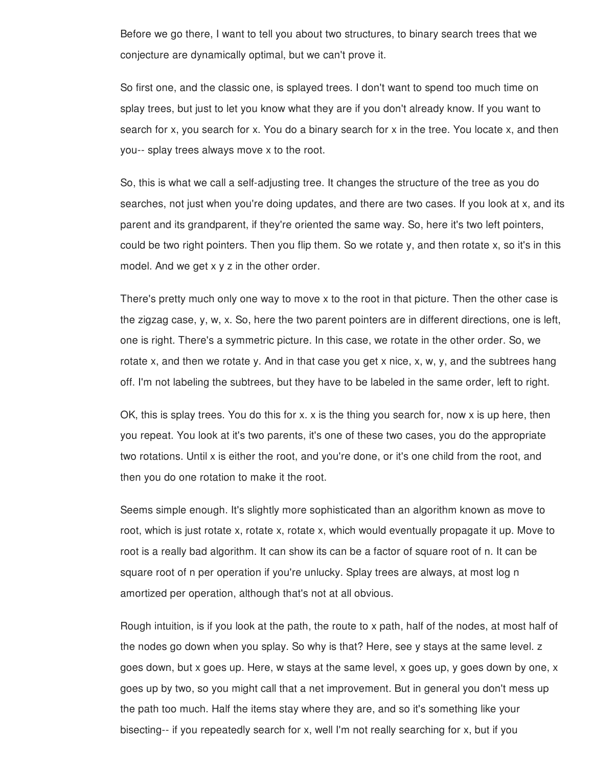Before we go there, I want to tell you about two structures, to binary search trees that we conjecture are dynamically optimal, but we can't prove it.

So first one, and the classic one, is splayed trees. I don't want to spend too much time on splay trees, but just to let you know what they are if you don't already know. If you want to search for x, you search for x. You do a binary search for x in the tree. You locate x, and then you-- splay trees always move x to the root.

So, this is what we call a self-adjusting tree. It changes the structure of the tree as you do searches, not just when you're doing updates, and there are two cases. If you look at x, and its parent and its grandparent, if they're oriented the same way. So, here it's two left pointers, could be two right pointers. Then you flip them. So we rotate y, and then rotate x, so it's in this model. And we get x y z in the other order.

There's pretty much only one way to move x to the root in that picture. Then the other case is the zigzag case, y, w, x. So, here the two parent pointers are in different directions, one is left, one is right. There's a symmetric picture. In this case, we rotate in the other order. So, we rotate x, and then we rotate y. And in that case you get x nice, x, w, y, and the subtrees hang off. I'm not labeling the subtrees, but they have to be labeled in the same order, left to right.

OK, this is splay trees. You do this for x. x is the thing you search for, now x is up here, then you repeat. You look at it's two parents, it's one of these two cases, you do the appropriate two rotations. Until x is either the root, and you're done, or it's one child from the root, and then you do one rotation to make it the root.

Seems simple enough. It's slightly more sophisticated than an algorithm known as move to root, which is just rotate x, rotate x, rotate x, which would eventually propagate it up. Move to root is a really bad algorithm. It can show its can be a factor of square root of n. It can be square root of n per operation if you're unlucky. Splay trees are always, at most log n amortized per operation, although that's not at all obvious.

Rough intuition, is if you look at the path, the route to x path, half of the nodes, at most half of the nodes go down when you splay. So why is that? Here, see y stays at the same level. z goes down, but x goes up. Here, w stays at the same level, x goes up, y goes down by one, x goes up by two, so you might call that a net improvement. But in general you don't mess up the path too much. Half the items stay where they are, and so it's something like your bisecting-- if you repeatedly search for x, well I'm not really searching for x, but if you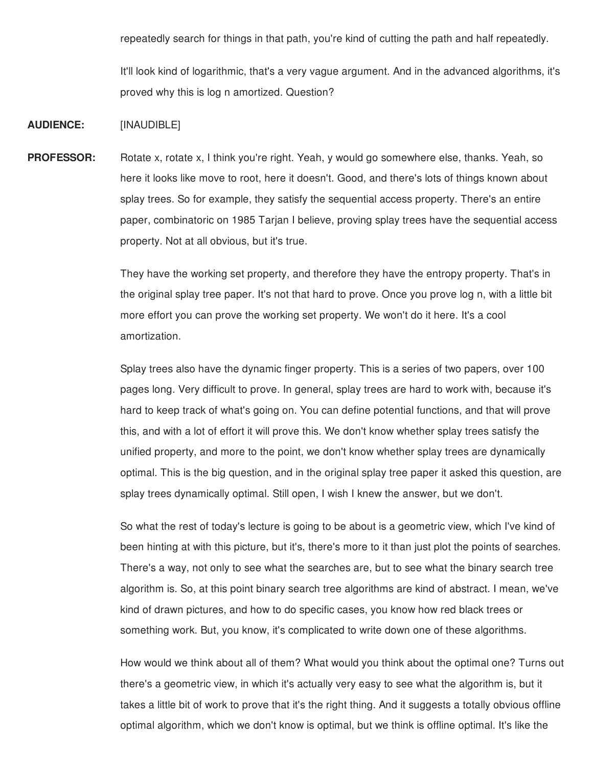repeatedly search for things in that path, you're kind of cutting the path and half repeatedly.

It'll look kind of logarithmic, that's a very vague argument. And in the advanced algorithms, it's proved why this is log n amortized. Question?

## **AUDIENCE:** [INAUDIBLE]

**PROFESSOR:** Rotate x, rotate x, I think you're right. Yeah, y would go somewhere else, thanks. Yeah, so here it looks like move to root, here it doesn't. Good, and there's lots of things known about splay trees. So for example, they satisfy the sequential access property. There's an entire paper, combinatoric on 1985 Tarjan I believe, proving splay trees have the sequential access property. Not at all obvious, but it's true.

> They have the working set property, and therefore they have the entropy property. That's in the original splay tree paper. It's not that hard to prove. Once you prove log n, with a little bit more effort you can prove the working set property. We won't do it here. It's a cool amortization.

Splay trees also have the dynamic finger property. This is a series of two papers, over 100 pages long. Very difficult to prove. In general, splay trees are hard to work with, because it's hard to keep track of what's going on. You can define potential functions, and that will prove this, and with a lot of effort it will prove this. We don't know whether splay trees satisfy the unified property, and more to the point, we don't know whether splay trees are dynamically optimal. This is the big question, and in the original splay tree paper it asked this question, are splay trees dynamically optimal. Still open, I wish I knew the answer, but we don't.

So what the rest of today's lecture is going to be about is a geometric view, which I've kind of been hinting at with this picture, but it's, there's more to it than just plot the points of searches. There's a way, not only to see what the searches are, but to see what the binary search tree algorithm is. So, at this point binary search tree algorithms are kind of abstract. I mean, we've kind of drawn pictures, and how to do specific cases, you know how red black trees or something work. But, you know, it's complicated to write down one of these algorithms.

How would we think about all of them? What would you think about the optimal one? Turns out there's a geometric view, in which it's actually very easy to see what the algorithm is, but it takes a little bit of work to prove that it's the right thing. And it suggests a totally obvious offline optimal algorithm, which we don't know is optimal, but we think is offline optimal. It's like the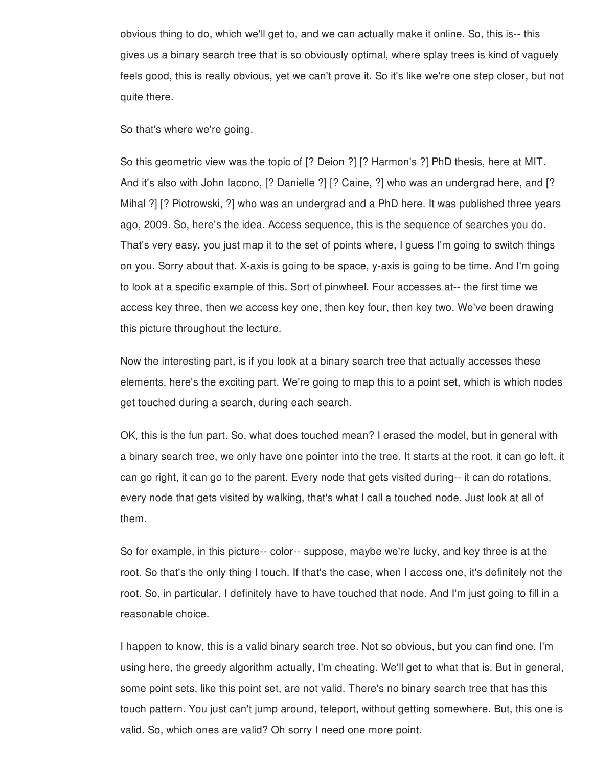obvious thing to do, which we'll get to, and we can actually make it online. So, this is-- this gives us a binary search tree that is so obviously optimal, where splay trees is kind of vaguely feels good, this is really obvious, yet we can't prove it. So it's like we're one step closer, but not quite there.

So that's where we're going.

So this geometric view was the topic of [? Deion ?] [? Harmon's ?] PhD thesis, here at MIT. And it's also with John Iacono, [? Danielle ?] [? Caine, ?] who was an undergrad here, and [? Mihal ?] [? Piotrowski, ?] who was an undergrad and a PhD here. It was published three years ago, 2009. So, here's the idea. Access sequence, this is the sequence of searches you do. That's very easy, you just map it to the set of points where, I guess I'm going to switch things on you. Sorry about that. X-axis is going to be space, y-axis is going to be time. And I'm going to look at a specific example of this. Sort of pinwheel. Four accesses at-- the first time we access key three, then we access key one, then key four, then key two. We've been drawing this picture throughout the lecture.

Now the interesting part, is if you look at a binary search tree that actually accesses these elements, here's the exciting part. We're going to map this to a point set, which is which nodes get touched during a search, during each search.

OK, this is the fun part. So, what does touched mean? I erased the model, but in general with a binary search tree, we only have one pointer into the tree. It starts at the root, it can go left, it can go right, it can go to the parent. Every node that gets visited during-- it can do rotations, every node that gets visited by walking, that's what I call a touched node. Just look at all of them.

So for example, in this picture-- color-- suppose, maybe we're lucky, and key three is at the root. So that's the only thing I touch. If that's the case, when I access one, it's definitely not the root. So, in particular, I definitely have to have touched that node. And I'm just going to fill in a reasonable choice.

I happen to know, this is a valid binary search tree. Not so obvious, but you can find one. I'm using here, the greedy algorithm actually, I'm cheating. We'll get to what that is. But in general, some point sets, like this point set, are not valid. There's no binary search tree that has this touch pattern. You just can't jump around, teleport, without getting somewhere. But, this one is valid. So, which ones are valid? Oh sorry I need one more point.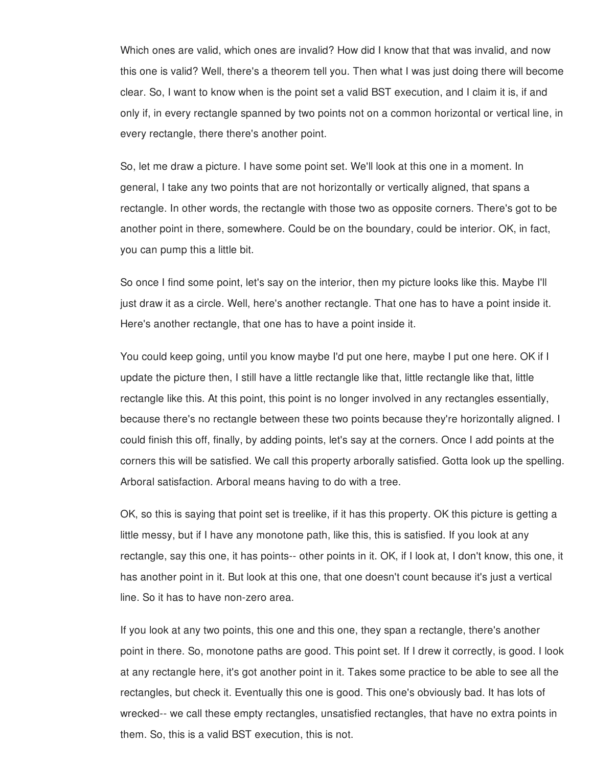Which ones are valid, which ones are invalid? How did I know that that was invalid, and now this one is valid? Well, there's a theorem tell you. Then what I was just doing there will become clear. So, I want to know when is the point set a valid BST execution, and I claim it is, if and only if, in every rectangle spanned by two points not on a common horizontal or vertical line, in every rectangle, there there's another point.

So, let me draw a picture. I have some point set. We'll look at this one in a moment. In general, I take any two points that are not horizontally or vertically aligned, that spans a rectangle. In other words, the rectangle with those two as opposite corners. There's got to be another point in there, somewhere. Could be on the boundary, could be interior. OK, in fact, you can pump this a little bit.

So once I find some point, let's say on the interior, then my picture looks like this. Maybe I'll just draw it as a circle. Well, here's another rectangle. That one has to have a point inside it. Here's another rectangle, that one has to have a point inside it.

You could keep going, until you know maybe I'd put one here, maybe I put one here. OK if I update the picture then, I still have a little rectangle like that, little rectangle like that, little rectangle like this. At this point, this point is no longer involved in any rectangles essentially, because there's no rectangle between these two points because they're horizontally aligned. I could finish this off, finally, by adding points, let's say at the corners. Once I add points at the corners this will be satisfied. We call this property arborally satisfied. Gotta look up the spelling. Arboral satisfaction. Arboral means having to do with a tree.

OK, so this is saying that point set is treelike, if it has this property. OK this picture is getting a little messy, but if I have any monotone path, like this, this is satisfied. If you look at any rectangle, say this one, it has points-- other points in it. OK, if I look at, I don't know, this one, it has another point in it. But look at this one, that one doesn't count because it's just a vertical line. So it has to have non-zero area.

If you look at any two points, this one and this one, they span a rectangle, there's another point in there. So, monotone paths are good. This point set. If I drew it correctly, is good. I look at any rectangle here, it's got another point in it. Takes some practice to be able to see all the rectangles, but check it. Eventually this one is good. This one's obviously bad. It has lots of wrecked-- we call these empty rectangles, unsatisfied rectangles, that have no extra points in them. So, this is a valid BST execution, this is not.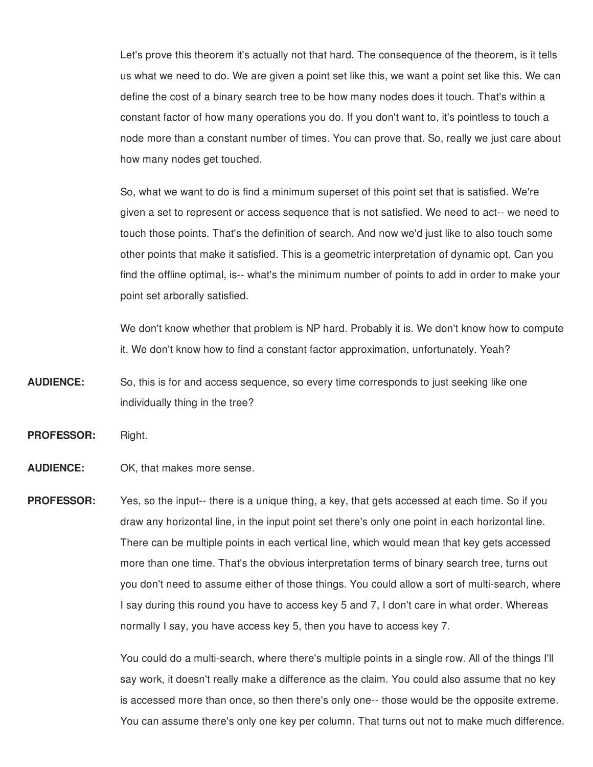Let's prove this theorem it's actually not that hard. The consequence of the theorem, is it tells us what we need to do. We are given a point set like this, we want a point set like this. We can define the cost of a binary search tree to be how many nodes does it touch. That's within a constant factor of how many operations you do. If you don't want to, it's pointless to touch a node more than a constant number of times. You can prove that. So, really we just care about how many nodes get touched.

So, what we want to do is find a minimum superset of this point set that is satisfied. We're given a set to represent or access sequence that is not satisfied. We need to act-- we need to touch those points. That's the definition of search. And now we'd just like to also touch some other points that make it satisfied. This is a geometric interpretation of dynamic opt. Can you find the offline optimal, is-- what's the minimum number of points to add in order to make your point set arborally satisfied.

We don't know whether that problem is NP hard. Probably it is. We don't know how to compute it. We don't know how to find a constant factor approximation, unfortunately. Yeah?

**AUDIENCE:** So, this is for and access sequence, so every time corresponds to just seeking like one individually thing in the tree?

them. So, this is a valid BST execution, this is not.

**PROFESSOR:** Right.

## **AUDIENCE:** OK, that makes more sense.

**PROFESSOR:** Yes, so the input-- there is a unique thing, a key, that gets accessed at each time. So if you draw any horizontal line, in the input point set there's only one point in each horizontal line. There can be multiple points in each vertical line, which would mean that key gets accessed more than one time. That's the obvious interpretation terms of binary search tree, turns out you don't need to assume either of those things. You could allow a sort of multi-search, where I say during this round you have to access key 5 and 7, I don't care in what order. Whereas normally I say, you have access key 5, then you have to access key 7.

> You could do a multi-search, where there's multiple points in a single row. All of the things I'll say work, it doesn't really make a difference as the claim. You could also assume that no key is accessed more than once, so then there's only one-- those would be the opposite extreme. You can assume there's only one key per column. That turns out not to make much difference.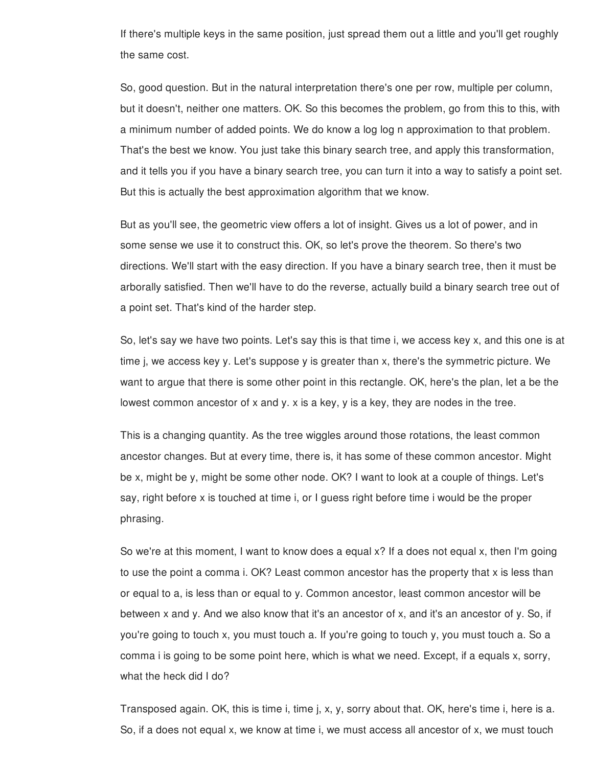If there's multiple keys in the same position, just spread them out a little and you'll get roughly the same cost.

So, good question. But in the natural interpretation there's one per row, multiple per column, but it doesn't, neither one matters. OK. So this becomes the problem, go from this to this, with a minimum number of added points. We do know a log log n approximation to that problem. That's the best we know. You just take this binary search tree, and apply this transformation, and it tells you if you have a binary search tree, you can turn it into a way to satisfy a point set. But this is actually the best approximation algorithm that we know.

But as you'll see, the geometric view offers a lot of insight. Gives us a lot of power, and in some sense we use it to construct this. OK, so let's prove the theorem. So there's two directions. We'll start with the easy direction. If you have a binary search tree, then it must be arborally satisfied. Then we'll have to do the reverse, actually build a binary search tree out of a point set. That's kind of the harder step.

So, let's say we have two points. Let's say this is that time i, we access key x, and this one is at time j, we access key y. Let's suppose y is greater than x, there's the symmetric picture. We want to argue that there is some other point in this rectangle. OK, here's the plan, let a be the lowest common ancestor of x and y. x is a key, y is a key, they are nodes in the tree.

This is a changing quantity. As the tree wiggles around those rotations, the least common ancestor changes. But at every time, there is, it has some of these common ancestor. Might be x, might be y, might be some other node. OK? I want to look at a couple of things. Let's say, right before x is touched at time i, or I guess right before time i would be the proper phrasing.

So we're at this moment, I want to know does a equal x? If a does not equal x, then I'm going to use the point a comma i. OK? Least common ancestor has the property that x is less than or equal to a, is less than or equal to y. Common ancestor, least common ancestor will be between x and y. And we also know that it's an ancestor of x, and it's an ancestor of y. So, if you're going to touch x, you must touch a. If you're going to touch y, you must touch a. So a comma i is going to be some point here, which is what we need. Except, if a equals x, sorry, what the heck did I do?

Transposed again. OK, this is time i, time j, x, y, sorry about that. OK, here's time i, here is a. So, if a does not equal x, we know at time i, we must access all ancestor of x, we must touch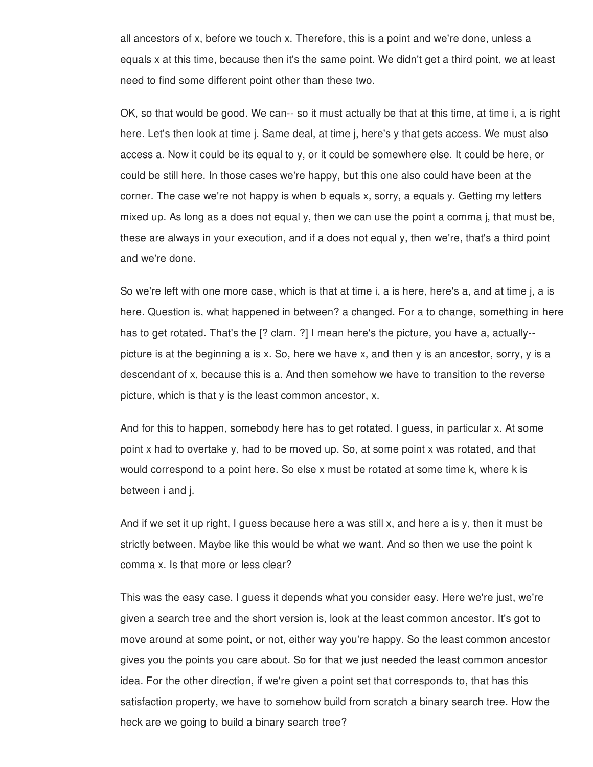all ancestors of x, before we touch x. Therefore, this is a point and we're done, unless a equals x at this time, because then it's the same point. We didn't get a third point, we at least need to find some different point other than these two.

OK, so that would be good. We can-- so it must actually be that at this time, at time i, a is right here. Let's then look at time j. Same deal, at time j, here's y that gets access. We must also access a. Now it could be its equal to y, or it could be somewhere else. It could be here, or could be still here. In those cases we're happy, but this one also could have been at the corner. The case we're not happy is when b equals x, sorry, a equals y. Getting my letters mixed up. As long as a does not equal y, then we can use the point a comma j, that must be, these are always in your execution, and if a does not equal y, then we're, that's a third point and we're done.

So we're left with one more case, which is that at time i, a is here, here's a, and at time j, a is here. Question is, what happened in between? a changed. For a to change, something in here has to get rotated. That's the [? clam. ?] I mean here's the picture, you have a, actually-picture is at the beginning a is x. So, here we have x, and then y is an ancestor, sorry, y is a descendant of x, because this is a. And then somehow we have to transition to the reverse picture, which is that y is the least common ancestor, x.

And for this to happen, somebody here has to get rotated. I guess, in particular x. At some point x had to overtake y, had to be moved up. So, at some point x was rotated, and that would correspond to a point here. So else x must be rotated at some time k, where k is between i and j.

And if we set it up right, I guess because here a was still x, and here a is y, then it must be strictly between. Maybe like this would be what we want. And so then we use the point k comma x. Is that more or less clear?

This was the easy case. I guess it depends what you consider easy. Here we're just, we're given a search tree and the short version is, look at the least common ancestor. It's got to move around at some point, or not, either way you're happy. So the least common ancestor gives you the points you care about. So for that we just needed the least common ancestor idea. For the other direction, if we're given a point set that corresponds to, that has this satisfaction property, we have to somehow build from scratch a binary search tree. How the heck are we going to build a binary search tree?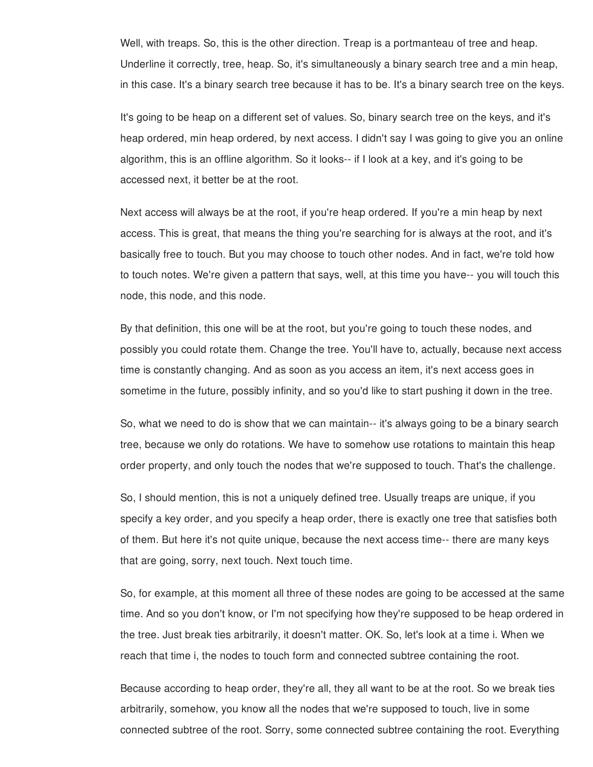Well, with treaps. So, this is the other direction. Treap is a portmanteau of tree and heap. Underline it correctly, tree, heap. So, it's simultaneously a binary search tree and a min heap, in this case. It's a binary search tree because it has to be. It's a binary search tree on the keys.

It's going to be heap on a different set of values. So, binary search tree on the keys, and it's heap ordered, min heap ordered, by next access. I didn't say I was going to give you an online algorithm, this is an offline algorithm. So it looks-- if I look at a key, and it's going to be accessed next, it better be at the root.

Next access will always be at the root, if you're heap ordered. If you're a min heap by next access. This is great, that means the thing you're searching for is always at the root, and it's basically free to touch. But you may choose to touch other nodes. And in fact, we're told how to touch notes. We're given a pattern that says, well, at this time you have-- you will touch this node, this node, and this node.

By that definition, this one will be at the root, but you're going to touch these nodes, and possibly you could rotate them. Change the tree. You'll have to, actually, because next access time is constantly changing. And as soon as you access an item, it's next access goes in sometime in the future, possibly infinity, and so you'd like to start pushing it down in the tree.

So, what we need to do is show that we can maintain-- it's always going to be a binary search tree, because we only do rotations. We have to somehow use rotations to maintain this heap order property, and only touch the nodes that we're supposed to touch. That's the challenge.

So, I should mention, this is not a uniquely defined tree. Usually treaps are unique, if you specify a key order, and you specify a heap order, there is exactly one tree that satisfies both of them. But here it's not quite unique, because the next access time-- there are many keys that are going, sorry, next touch. Next touch time.

So, for example, at this moment all three of these nodes are going to be accessed at the same time. And so you don't know, or I'm not specifying how they're supposed to be heap ordered in the tree. Just break ties arbitrarily, it doesn't matter. OK. So, let's look at a time i. When we reach that time i, the nodes to touch form and connected subtree containing the root.

Because according to heap order, they're all, they all want to be at the root. So we break ties arbitrarily, somehow, you know all the nodes that we're supposed to touch, live in some connected subtree of the root. Sorry, some connected subtree containing the root. Everything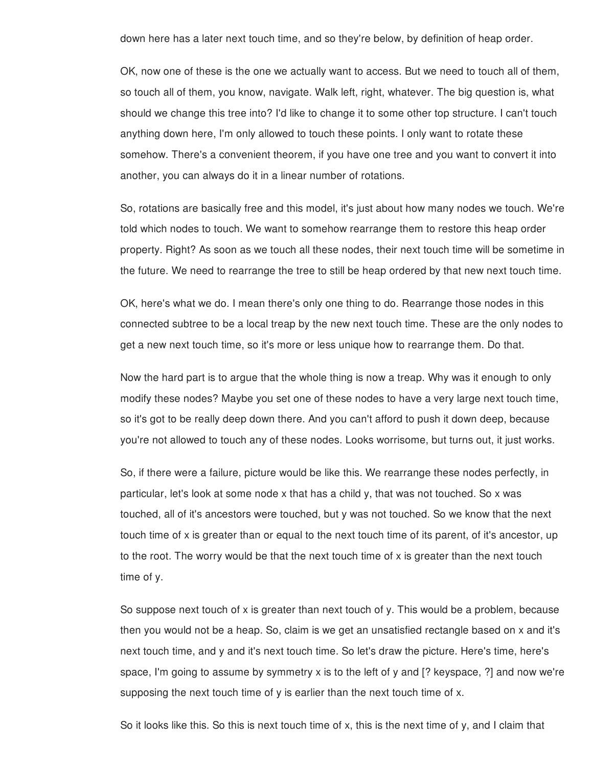down here has a later next touch time, and so they're below, by definition of heap order.

OK, now one of these is the one we actually want to access. But we need to touch all of them, so touch all of them, you know, navigate. Walk left, right, whatever. The big question is, what should we change this tree into? I'd like to change it to some other top structure. I can't touch anything down here, I'm only allowed to touch these points. I only want to rotate these somehow. There's a convenient theorem, if you have one tree and you want to convert it into another, you can always do it in a linear number of rotations.

So, rotations are basically free and this model, it's just about how many nodes we touch. We're told which nodes to touch. We want to somehow rearrange them to restore this heap order property. Right? As soon as we touch all these nodes, their next touch time will be sometime in the future. We need to rearrange the tree to still be heap ordered by that new next touch time.

OK, here's what we do. I mean there's only one thing to do. Rearrange those nodes in this connected subtree to be a local treap by the new next touch time. These are the only nodes to get a new next touch time, so it's more or less unique how to rearrange them. Do that.

Now the hard part is to argue that the whole thing is now a treap. Why was it enough to only modify these nodes? Maybe you set one of these nodes to have a very large next touch time, so it's got to be really deep down there. And you can't afford to push it down deep, because you're not allowed to touch any of these nodes. Looks worrisome, but turns out, it just works.

So, if there were a failure, picture would be like this. We rearrange these nodes perfectly, in particular, let's look at some node x that has a child y, that was not touched. So x was touched, all of it's ancestors were touched, but y was not touched. So we know that the next touch time of x is greater than or equal to the next touch time of its parent, of it's ancestor, up to the root. The worry would be that the next touch time of x is greater than the next touch time of y.

So suppose next touch of x is greater than next touch of y. This would be a problem, because then you would not be a heap. So, claim is we get an unsatisfied rectangle based on x and it's next touch time, and y and it's next touch time. So let's draw the picture. Here's time, here's space, I'm going to assume by symmetry x is to the left of y and [? keyspace, ?] and now we're supposing the next touch time of y is earlier than the next touch time of x.

So it looks like this. So this is next touch time of x, this is the next time of y, and I claim that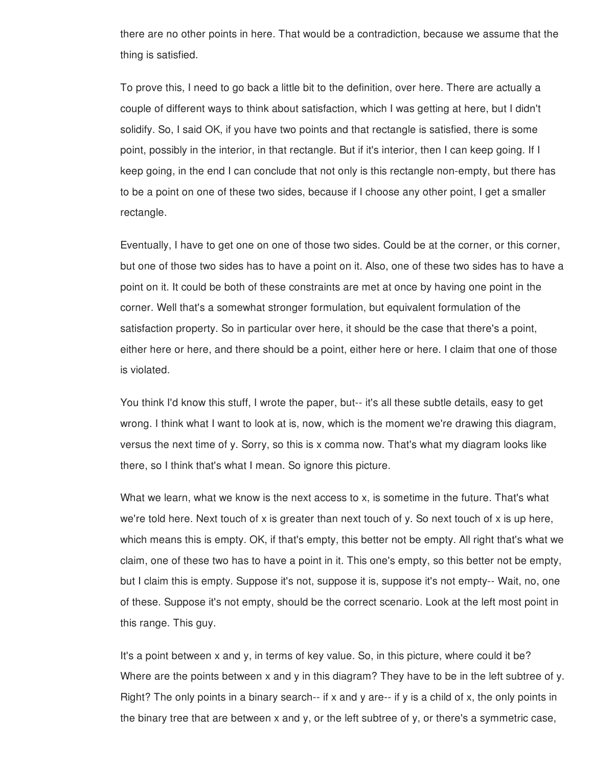there are no other points in here. That would be a contradiction, because we assume that the thing is satisfied.

To prove this, I need to go back a little bit to the definition, over here. There are actually a couple of different ways to think about satisfaction, which I was getting at here, but I didn't solidify. So, I said OK, if you have two points and that rectangle is satisfied, there is some point, possibly in the interior, in that rectangle. But if it's interior, then I can keep going. If I keep going, in the end I can conclude that not only is this rectangle non-empty, but there has to be a point on one of these two sides, because if I choose any other point, I get a smaller rectangle.

Eventually, I have to get one on one of those two sides. Could be at the corner, or this corner, but one of those two sides has to have a point on it. Also, one of these two sides has to have a point on it. It could be both of these constraints are met at once by having one point in the corner. Well that's a somewhat stronger formulation, but equivalent formulation of the satisfaction property. So in particular over here, it should be the case that there's a point, either here or here, and there should be a point, either here or here. I claim that one of those is violated.

You think I'd know this stuff, I wrote the paper, but-- it's all these subtle details, easy to get wrong. I think what I want to look at is, now, which is the moment we're drawing this diagram, versus the next time of y. Sorry, so this is x comma now. That's what my diagram looks like there, so I think that's what I mean. So ignore this picture.

What we learn, what we know is the next access to x, is sometime in the future. That's what we're told here. Next touch of x is greater than next touch of y. So next touch of x is up here, which means this is empty. OK, if that's empty, this better not be empty. All right that's what we claim, one of these two has to have a point in it. This one's empty, so this better not be empty, but I claim this is empty. Suppose it's not, suppose it is, suppose it's not empty-- Wait, no, one of these. Suppose it's not empty, should be the correct scenario. Look at the left most point in this range. This guy.

It's a point between x and y, in terms of key value. So, in this picture, where could it be? Where are the points between x and y in this diagram? They have to be in the left subtree of y. Right? The only points in a binary search-- if x and y are-- if y is a child of x, the only points in the binary tree that are between x and y, or the left subtree of y, or there's a symmetric case,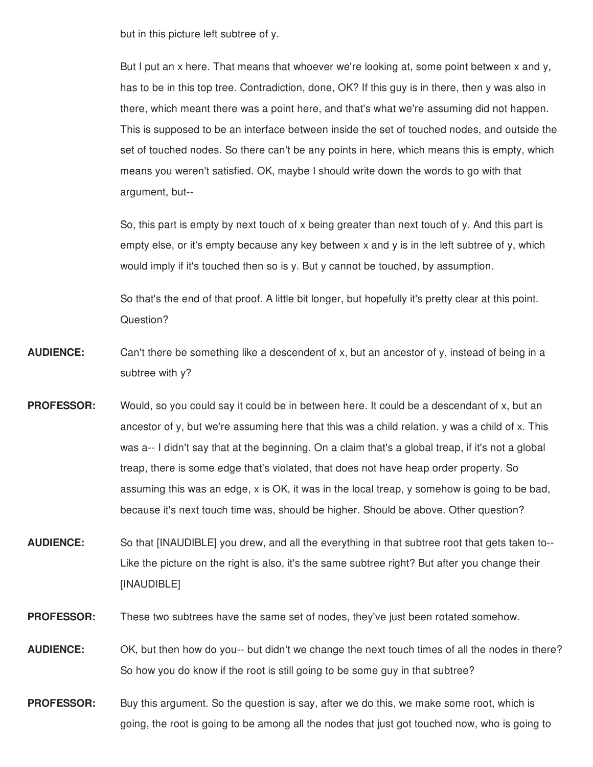but in this picture left subtree of y.

But I put an x here. That means that whoever we're looking at, some point between x and y, has to be in this top tree. Contradiction, done, OK? If this guy is in there, then y was also in there, which meant there was a point here, and that's what we're assuming did not happen. This is supposed to be an interface between inside the set of touched nodes, and outside the set of touched nodes. So there can't be any points in here, which means this is empty, which means you weren't satisfied. OK, maybe I should write down the words to go with that argument, but--

So, this part is empty by next touch of x being greater than next touch of y. And this part is empty else, or it's empty because any key between x and y is in the left subtree of y, which would imply if it's touched then so is y. But y cannot be touched, by assumption.

So that's the end of that proof. A little bit longer, but hopefully it's pretty clear at this point. Question?

- **AUDIENCE:** Can't there be something like a descendent of x, but an ancestor of y, instead of being in a subtree with y?
- **PROFESSOR:** Would, so you could say it could be in between here. It could be a descendant of x, but an ancestor of y, but we're assuming here that this was a child relation. y was a child of x. This was a-- I didn't say that at the beginning. On a claim that's a global treap, if it's not a global treap, there is some edge that's violated, that does not have heap order property. So assuming this was an edge, x is OK, it was in the local treap, y somehow is going to be bad, because it's next touch time was, should be higher. Should be above. Other question?
- **AUDIENCE:** So that [INAUDIBLE] you drew, and all the everything in that subtree root that gets taken to-- Like the picture on the right is also, it's the same subtree right? But after you change their [INAUDIBLE]
- **PROFESSOR:** These two subtrees have the same set of nodes, they've just been rotated somehow.
- **AUDIENCE:** OK, but then how do you-- but didn't we change the next touch times of all the nodes in there? So how you do know if the root is still going to be some guy in that subtree?
- **PROFESSOR:** Buy this argument. So the question is say, after we do this, we make some root, which is going, the root is going to be among all the nodes that just got touched now, who is going to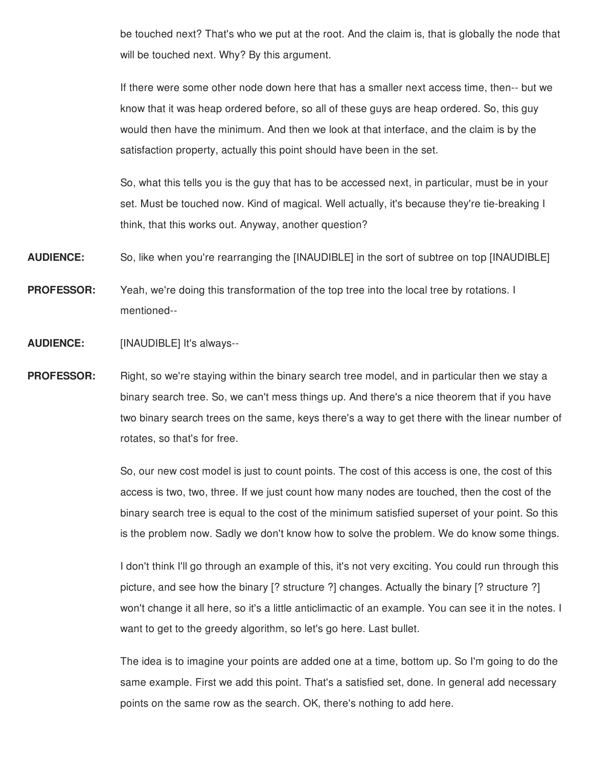be touched next? That's who we put at the root. And the claim is, that is globally the node that will be touched next. Why? By this argument.

If there were some other node down here that has a smaller next access time, then-- but we know that it was heap ordered before, so all of these guys are heap ordered. So, this guy would then have the minimum. And then we look at that interface, and the claim is by the satisfaction property, actually this point should have been in the set.

So, what this tells you is the guy that has to be accessed next, in particular, must be in your set. Must be touched now. Kind of magical. Well actually, it's because they're tie-breaking I think, that this works out. Anyway, another question?

**AUDIENCE:** So, like when you're rearranging the [INAUDIBLE] in the sort of subtree on top [INAUDIBLE]

**PROFESSOR:** Yeah, we're doing this transformation of the top tree into the local tree by rotations. I mentioned--

**AUDIENCE:** [INAUDIBLE] It's always--

**PROFESSOR:** Right, so we're staying within the binary search tree model, and in particular then we stay a binary search tree. So, we can't mess things up. And there's a nice theorem that if you have two binary search trees on the same, keys there's a way to get there with the linear number of rotates, so that's for free.

> So, our new cost model is just to count points. The cost of this access is one, the cost of this access is two, two, three. If we just count how many nodes are touched, then the cost of the binary search tree is equal to the cost of the minimum satisfied superset of your point. So this is the problem now. Sadly we don't know how to solve the problem. We do know some things.

> I don't think I'll go through an example of this, it's not very exciting. You could run through this picture, and see how the binary [? structure ?] changes. Actually the binary [? structure ?] won't change it all here, so it's a little anticlimactic of an example. You can see it in the notes. I want to get to the greedy algorithm, so let's go here. Last bullet.

> The idea is to imagine your points are added one at a time, bottom up. So I'm going to do the same example. First we add this point. That's a satisfied set, done. In general add necessary points on the same row as the search. OK, there's nothing to add here.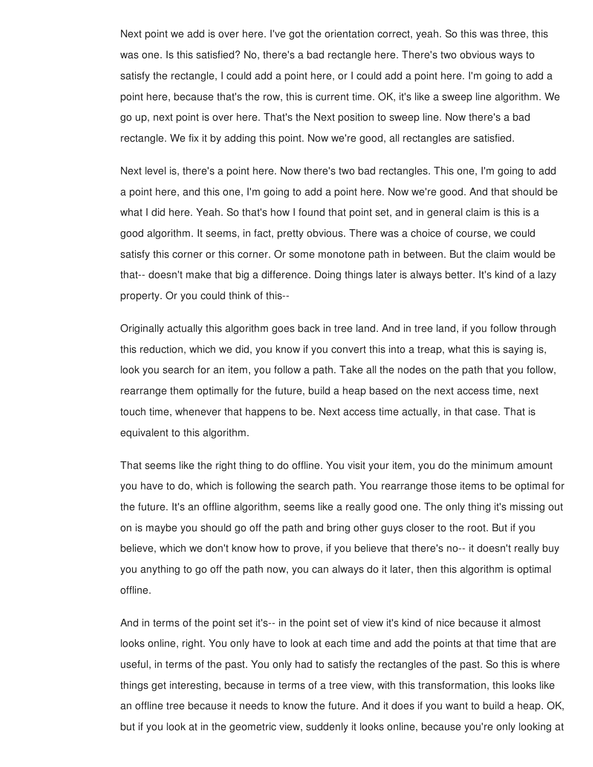Next point we add is over here. I've got the orientation correct, yeah. So this was three, this was one. Is this satisfied? No, there's a bad rectangle here. There's two obvious ways to satisfy the rectangle, I could add a point here, or I could add a point here. I'm going to add a point here, because that's the row, this is current time. OK, it's like a sweep line algorithm. We go up, next point is over here. That's the Next position to sweep line. Now there's a bad rectangle. We fix it by adding this point. Now we're good, all rectangles are satisfied.

Next level is, there's a point here. Now there's two bad rectangles. This one, I'm going to add a point here, and this one, I'm going to add a point here. Now we're good. And that should be what I did here. Yeah. So that's how I found that point set, and in general claim is this is a good algorithm. It seems, in fact, pretty obvious. There was a choice of course, we could satisfy this corner or this corner. Or some monotone path in between. But the claim would be that-- doesn't make that big a difference. Doing things later is always better. It's kind of a lazy property. Or you could think of this--

Originally actually this algorithm goes back in tree land. And in tree land, if you follow through this reduction, which we did, you know if you convert this into a treap, what this is saying is, look you search for an item, you follow a path. Take all the nodes on the path that you follow, rearrange them optimally for the future, build a heap based on the next access time, next touch time, whenever that happens to be. Next access time actually, in that case. That is equivalent to this algorithm.

That seems like the right thing to do offline. You visit your item, you do the minimum amount you have to do, which is following the search path. You rearrange those items to be optimal for the future. It's an offline algorithm, seems like a really good one. The only thing it's missing out on is maybe you should go off the path and bring other guys closer to the root. But if you believe, which we don't know how to prove, if you believe that there's no-- it doesn't really buy you anything to go off the path now, you can always do it later, then this algorithm is optimal offline.

And in terms of the point set it's-- in the point set of view it's kind of nice because it almost looks online, right. You only have to look at each time and add the points at that time that are useful, in terms of the past. You only had to satisfy the rectangles of the past. So this is where things get interesting, because in terms of a tree view, with this transformation, this looks like an offline tree because it needs to know the future. And it does if you want to build a heap. OK, but if you look at in the geometric view, suddenly it looks online, because you're only looking at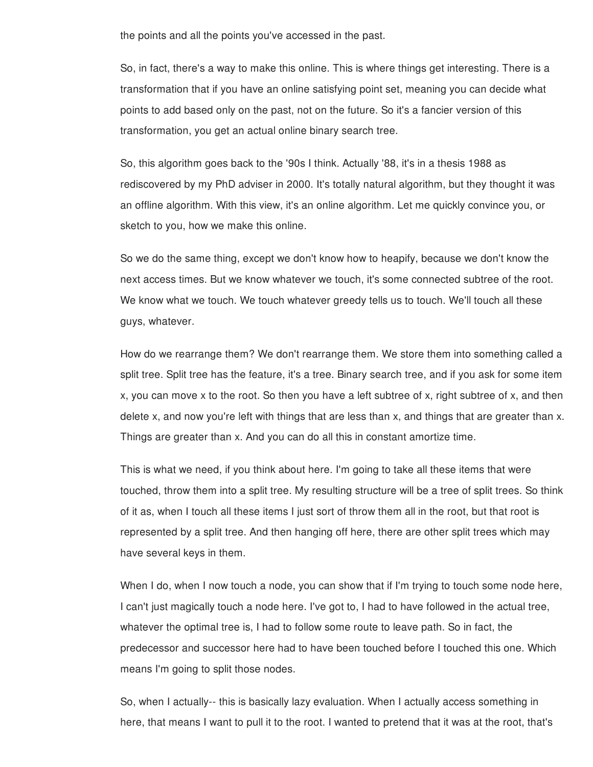the points and all the points you've accessed in the past.

So, in fact, there's a way to make this online. This is where things get interesting. There is a transformation that if you have an online satisfying point set, meaning you can decide what points to add based only on the past, not on the future. So it's a fancier version of this transformation, you get an actual online binary search tree.

So, this algorithm goes back to the '90s I think. Actually '88, it's in a thesis 1988 as rediscovered by my PhD adviser in 2000. It's totally natural algorithm, but they thought it was an offline algorithm. With this view, it's an online algorithm. Let me quickly convince you, or sketch to you, how we make this online.

So we do the same thing, except we don't know how to heapify, because we don't know the next access times. But we know whatever we touch, it's some connected subtree of the root. We know what we touch. We touch whatever greedy tells us to touch. We'll touch all these guys, whatever.

How do we rearrange them? We don't rearrange them. We store them into something called a split tree. Split tree has the feature, it's a tree. Binary search tree, and if you ask for some item x, you can move x to the root. So then you have a left subtree of x, right subtree of x, and then delete x, and now you're left with things that are less than x, and things that are greater than x. Things are greater than x. And you can do all this in constant amortize time.

This is what we need, if you think about here. I'm going to take all these items that were touched, throw them into a split tree. My resulting structure will be a tree of split trees. So think of it as, when I touch all these items I just sort of throw them all in the root, but that root is represented by a split tree. And then hanging off here, there are other split trees which may have several keys in them.

When I do, when I now touch a node, you can show that if I'm trying to touch some node here, I can't just magically touch a node here. I've got to, I had to have followed in the actual tree, whatever the optimal tree is, I had to follow some route to leave path. So in fact, the predecessor and successor here had to have been touched before I touched this one. Which means I'm going to split those nodes.

So, when I actually-- this is basically lazy evaluation. When I actually access something in here, that means I want to pull it to the root. I wanted to pretend that it was at the root, that's